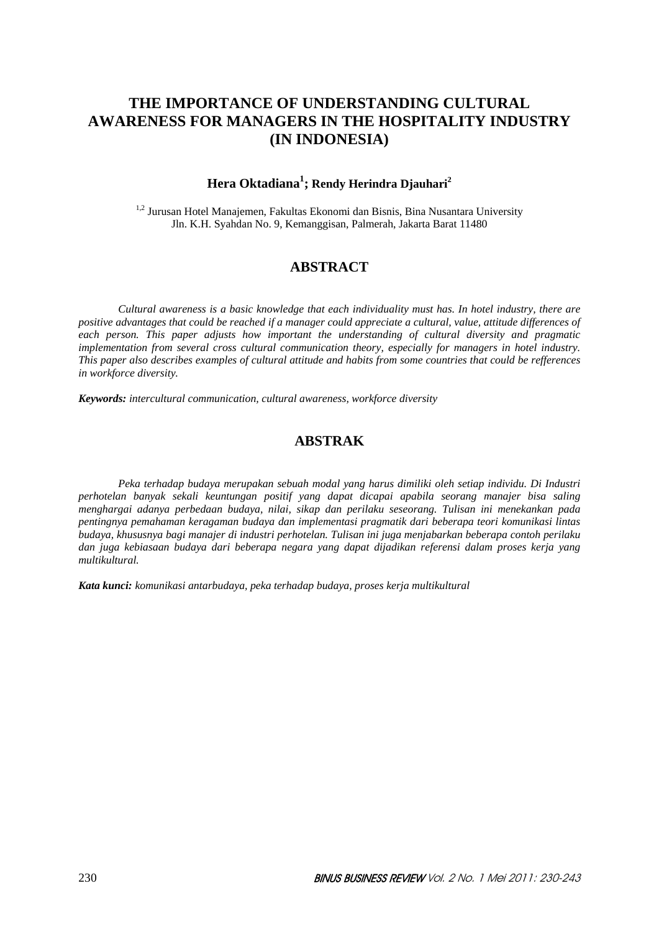# **THE IMPORTANCE OF UNDERSTANDING CULTURAL AWARENESS FOR MANAGERS IN THE HOSPITALITY INDUSTRY (IN INDONESIA)**

# **Hera Oktadiana1 ; Rendy Herindra Djauhari2**

<sup>1,2</sup> Jurusan Hotel Manajemen, Fakultas Ekonomi dan Bisnis, Bina Nusantara University Jln. K.H. Syahdan No. 9, Kemanggisan, Palmerah, Jakarta Barat 11480

# **ABSTRACT**

*Cultural awareness is a basic knowledge that each individuality must has. In hotel industry, there are positive advantages that could be reached if a manager could appreciate a cultural, value, attitude differences of each person. This paper adjusts how important the understanding of cultural diversity and pragmatic implementation from several cross cultural communication theory, especially for managers in hotel industry. This paper also describes examples of cultural attitude and habits from some countries that could be refferences in workforce diversity.* 

*Keywords: intercultural communication, cultural awareness, workforce diversity*

# **ABSTRAK**

*Peka terhadap budaya merupakan sebuah modal yang harus dimiliki oleh setiap individu. Di Industri perhotelan banyak sekali keuntungan positif yang dapat dicapai apabila seorang manajer bisa saling menghargai adanya perbedaan budaya, nilai, sikap dan perilaku seseorang. Tulisan ini menekankan pada pentingnya pemahaman keragaman budaya dan implementasi pragmatik dari beberapa teori komunikasi lintas budaya, khususnya bagi manajer di industri perhotelan. Tulisan ini juga menjabarkan beberapa contoh perilaku dan juga kebiasaan budaya dari beberapa negara yang dapat dijadikan referensi dalam proses kerja yang multikultural.* 

*Kata kunci: komunikasi antarbudaya, peka terhadap budaya, proses kerja multikultural*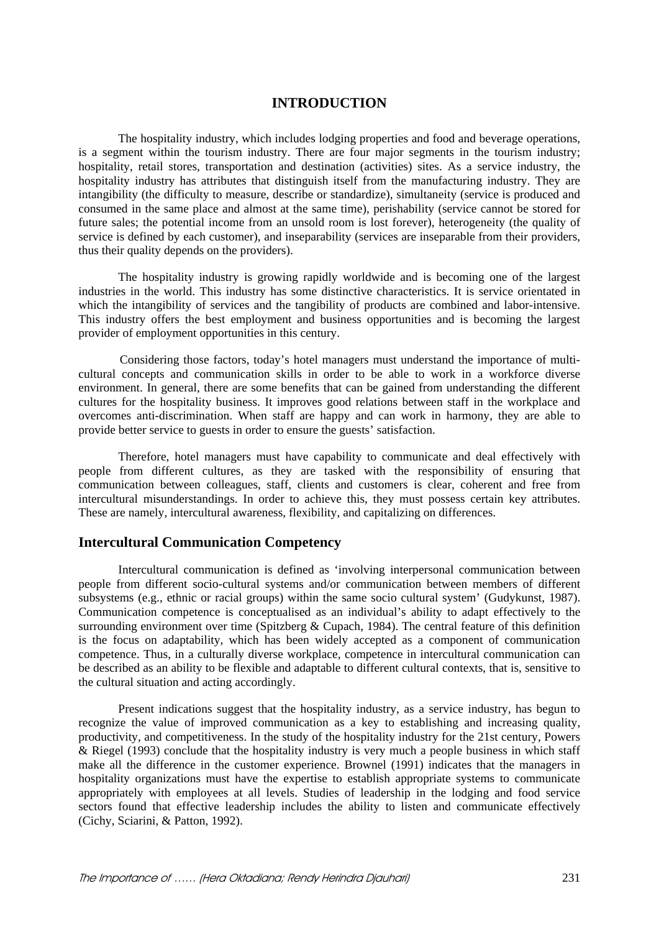# **INTRODUCTION**

The hospitality industry, which includes lodging properties and food and beverage operations, is a segment within the tourism industry. There are four major segments in the tourism industry; hospitality, retail stores, transportation and destination (activities) sites. As a service industry, the hospitality industry has attributes that distinguish itself from the manufacturing industry. They are intangibility (the difficulty to measure, describe or standardize), simultaneity (service is produced and consumed in the same place and almost at the same time), perishability (service cannot be stored for future sales; the potential income from an unsold room is lost forever), heterogeneity (the quality of service is defined by each customer), and inseparability (services are inseparable from their providers, thus their quality depends on the providers).

The hospitality industry is growing rapidly worldwide and is becoming one of the largest industries in the world. This industry has some distinctive characteristics. It is service orientated in which the intangibility of services and the tangibility of products are combined and labor-intensive. This industry offers the best employment and business opportunities and is becoming the largest provider of employment opportunities in this century.

 Considering those factors, today's hotel managers must understand the importance of multicultural concepts and communication skills in order to be able to work in a workforce diverse environment. In general, there are some benefits that can be gained from understanding the different cultures for the hospitality business. It improves good relations between staff in the workplace and overcomes anti-discrimination. When staff are happy and can work in harmony, they are able to provide better service to guests in order to ensure the guests' satisfaction.

Therefore, hotel managers must have capability to communicate and deal effectively with people from different cultures, as they are tasked with the responsibility of ensuring that communication between colleagues, staff, clients and customers is clear, coherent and free from intercultural misunderstandings. In order to achieve this, they must possess certain key attributes. These are namely, intercultural awareness, flexibility, and capitalizing on differences.

# **Intercultural Communication Competency**

Intercultural communication is defined as 'involving interpersonal communication between people from different socio-cultural systems and/or communication between members of different subsystems (e.g., ethnic or racial groups) within the same socio cultural system' (Gudykunst, 1987). Communication competence is conceptualised as an individual's ability to adapt effectively to the surrounding environment over time (Spitzberg & Cupach, 1984). The central feature of this definition is the focus on adaptability, which has been widely accepted as a component of communication competence. Thus, in a culturally diverse workplace, competence in intercultural communication can be described as an ability to be flexible and adaptable to different cultural contexts, that is, sensitive to the cultural situation and acting accordingly.

Present indications suggest that the hospitality industry, as a service industry, has begun to recognize the value of improved communication as a key to establishing and increasing quality, productivity, and competitiveness. In the study of the hospitality industry for the 21st century, Powers & Riegel (1993) conclude that the hospitality industry is very much a people business in which staff make all the difference in the customer experience. Brownel (1991) indicates that the managers in hospitality organizations must have the expertise to establish appropriate systems to communicate appropriately with employees at all levels. Studies of leadership in the lodging and food service sectors found that effective leadership includes the ability to listen and communicate effectively (Cichy, Sciarini, & Patton, 1992).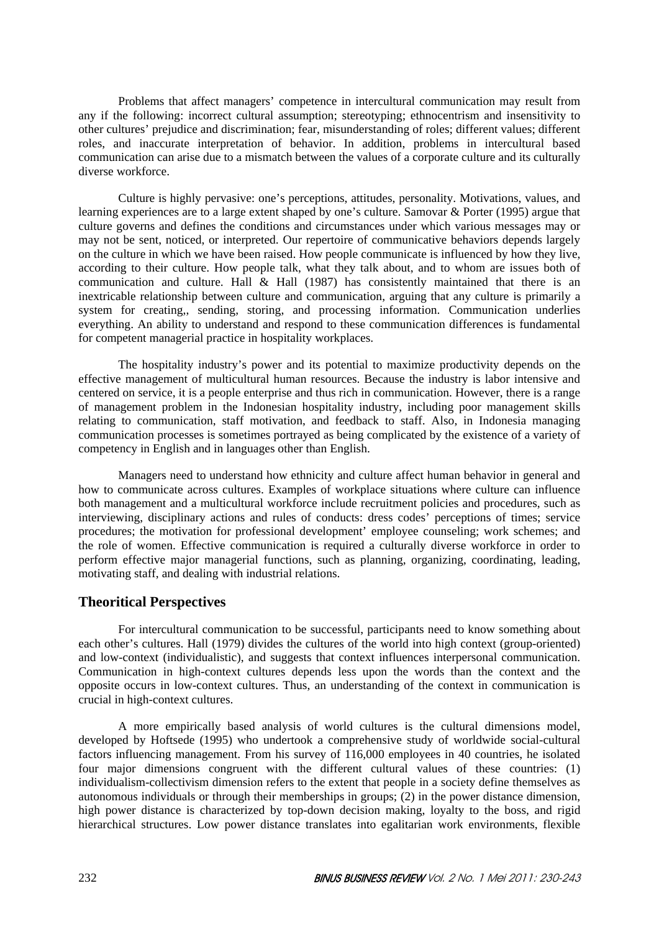Problems that affect managers' competence in intercultural communication may result from any if the following: incorrect cultural assumption; stereotyping; ethnocentrism and insensitivity to other cultures' prejudice and discrimination; fear, misunderstanding of roles; different values; different roles, and inaccurate interpretation of behavior. In addition, problems in intercultural based communication can arise due to a mismatch between the values of a corporate culture and its culturally diverse workforce.

Culture is highly pervasive: one's perceptions, attitudes, personality. Motivations, values, and learning experiences are to a large extent shaped by one's culture. Samovar & Porter (1995) argue that culture governs and defines the conditions and circumstances under which various messages may or may not be sent, noticed, or interpreted. Our repertoire of communicative behaviors depends largely on the culture in which we have been raised. How people communicate is influenced by how they live, according to their culture. How people talk, what they talk about, and to whom are issues both of communication and culture. Hall & Hall (1987) has consistently maintained that there is an inextricable relationship between culture and communication, arguing that any culture is primarily a system for creating,, sending, storing, and processing information. Communication underlies everything. An ability to understand and respond to these communication differences is fundamental for competent managerial practice in hospitality workplaces.

 The hospitality industry's power and its potential to maximize productivity depends on the effective management of multicultural human resources. Because the industry is labor intensive and centered on service, it is a people enterprise and thus rich in communication. However, there is a range of management problem in the Indonesian hospitality industry, including poor management skills relating to communication, staff motivation, and feedback to staff. Also, in Indonesia managing communication processes is sometimes portrayed as being complicated by the existence of a variety of competency in English and in languages other than English.

Managers need to understand how ethnicity and culture affect human behavior in general and how to communicate across cultures. Examples of workplace situations where culture can influence both management and a multicultural workforce include recruitment policies and procedures, such as interviewing, disciplinary actions and rules of conducts: dress codes' perceptions of times; service procedures; the motivation for professional development' employee counseling; work schemes; and the role of women. Effective communication is required a culturally diverse workforce in order to perform effective major managerial functions, such as planning, organizing, coordinating, leading, motivating staff, and dealing with industrial relations.

# **Theoritical Perspectives**

For intercultural communication to be successful, participants need to know something about each other's cultures. Hall (1979) divides the cultures of the world into high context (group-oriented) and low-context (individualistic), and suggests that context influences interpersonal communication. Communication in high-context cultures depends less upon the words than the context and the opposite occurs in low-context cultures. Thus, an understanding of the context in communication is crucial in high-context cultures.

A more empirically based analysis of world cultures is the cultural dimensions model, developed by Hoftsede (1995) who undertook a comprehensive study of worldwide social-cultural factors influencing management. From his survey of 116,000 employees in 40 countries, he isolated four major dimensions congruent with the different cultural values of these countries: (1) individualism-collectivism dimension refers to the extent that people in a society define themselves as autonomous individuals or through their memberships in groups; (2) in the power distance dimension, high power distance is characterized by top-down decision making, loyalty to the boss, and rigid hierarchical structures. Low power distance translates into egalitarian work environments, flexible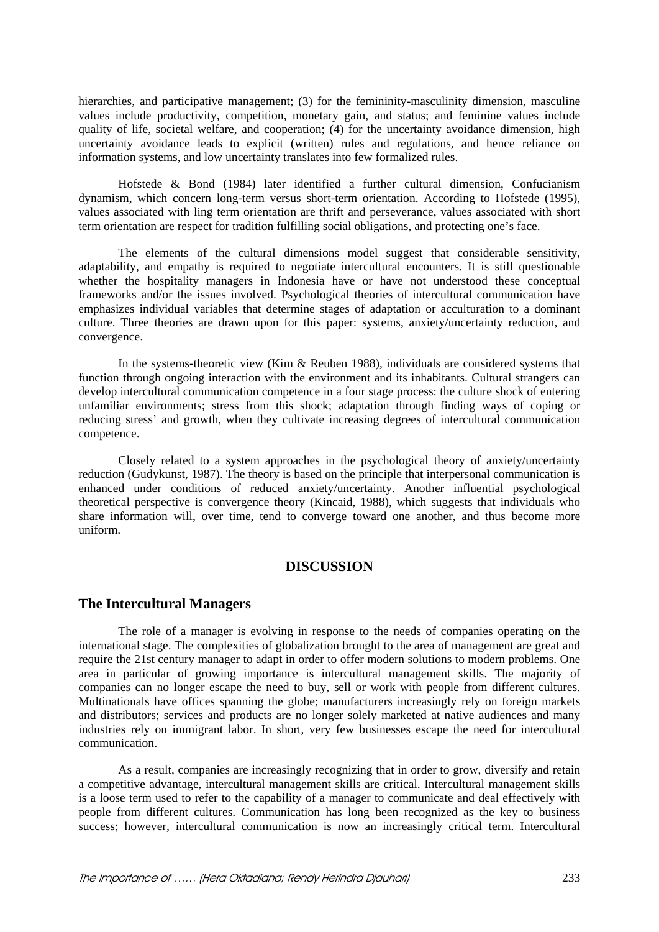hierarchies, and participative management; (3) for the femininity-masculinity dimension, masculine values include productivity, competition, monetary gain, and status; and feminine values include quality of life, societal welfare, and cooperation; (4) for the uncertainty avoidance dimension, high uncertainty avoidance leads to explicit (written) rules and regulations, and hence reliance on information systems, and low uncertainty translates into few formalized rules.

Hofstede & Bond (1984) later identified a further cultural dimension, Confucianism dynamism, which concern long-term versus short-term orientation. According to Hofstede (1995), values associated with ling term orientation are thrift and perseverance, values associated with short term orientation are respect for tradition fulfilling social obligations, and protecting one's face.

The elements of the cultural dimensions model suggest that considerable sensitivity, adaptability, and empathy is required to negotiate intercultural encounters. It is still questionable whether the hospitality managers in Indonesia have or have not understood these conceptual frameworks and/or the issues involved. Psychological theories of intercultural communication have emphasizes individual variables that determine stages of adaptation or acculturation to a dominant culture. Three theories are drawn upon for this paper: systems, anxiety/uncertainty reduction, and convergence.

In the systems-theoretic view (Kim & Reuben 1988), individuals are considered systems that function through ongoing interaction with the environment and its inhabitants. Cultural strangers can develop intercultural communication competence in a four stage process: the culture shock of entering unfamiliar environments; stress from this shock; adaptation through finding ways of coping or reducing stress' and growth, when they cultivate increasing degrees of intercultural communication competence.

Closely related to a system approaches in the psychological theory of anxiety/uncertainty reduction (Gudykunst, 1987). The theory is based on the principle that interpersonal communication is enhanced under conditions of reduced anxiety/uncertainty. Another influential psychological theoretical perspective is convergence theory (Kincaid, 1988), which suggests that individuals who share information will, over time, tend to converge toward one another, and thus become more uniform.

# **DISCUSSION**

### **The Intercultural Managers**

The role of a manager is evolving in response to the needs of companies operating on the international stage. The complexities of globalization brought to the area of management are great and require the 21st century manager to adapt in order to offer modern solutions to modern problems. One area in particular of growing importance is intercultural management skills. The majority of companies can no longer escape the need to buy, sell or work with people from different cultures. Multinationals have offices spanning the globe; manufacturers increasingly rely on foreign markets and distributors; services and products are no longer solely marketed at native audiences and many industries rely on immigrant labor. In short, very few businesses escape the need for intercultural communication.

As a result, companies are increasingly recognizing that in order to grow, diversify and retain a competitive advantage, intercultural management skills are critical. Intercultural management skills is a loose term used to refer to the capability of a manager to communicate and deal effectively with people from different cultures. Communication has long been recognized as the key to business success; however, intercultural communication is now an increasingly critical term. Intercultural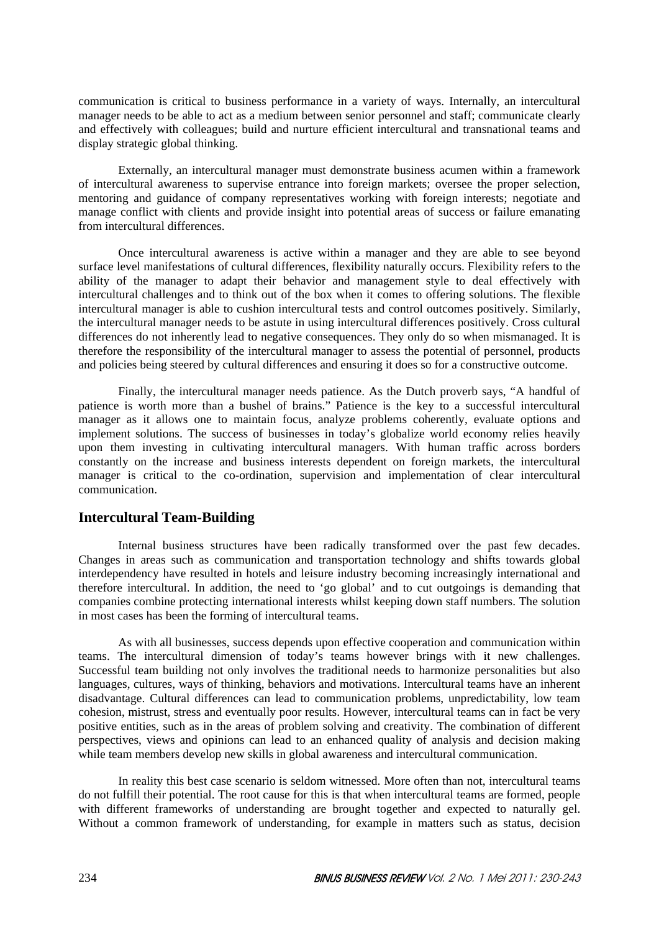communication is critical to business performance in a variety of ways. Internally, an intercultural manager needs to be able to act as a medium between senior personnel and staff; communicate clearly and effectively with colleagues; build and nurture efficient intercultural and transnational teams and display strategic global thinking.

Externally, an intercultural manager must demonstrate business acumen within a framework of intercultural awareness to supervise entrance into foreign markets; oversee the proper selection, mentoring and guidance of company representatives working with foreign interests; negotiate and manage conflict with clients and provide insight into potential areas of success or failure emanating from intercultural differences.

Once intercultural awareness is active within a manager and they are able to see beyond surface level manifestations of cultural differences, flexibility naturally occurs. Flexibility refers to the ability of the manager to adapt their behavior and management style to deal effectively with intercultural challenges and to think out of the box when it comes to offering solutions. The flexible intercultural manager is able to cushion intercultural tests and control outcomes positively. Similarly, the intercultural manager needs to be astute in using intercultural differences positively. Cross cultural differences do not inherently lead to negative consequences. They only do so when mismanaged. It is therefore the responsibility of the intercultural manager to assess the potential of personnel, products and policies being steered by cultural differences and ensuring it does so for a constructive outcome.

Finally, the intercultural manager needs patience. As the Dutch proverb says, "A handful of patience is worth more than a bushel of brains." Patience is the key to a successful intercultural manager as it allows one to maintain focus, analyze problems coherently, evaluate options and implement solutions. The success of businesses in today's globalize world economy relies heavily upon them investing in cultivating intercultural managers. With human traffic across borders constantly on the increase and business interests dependent on foreign markets, the intercultural manager is critical to the co-ordination, supervision and implementation of clear intercultural communication.

# **Intercultural Team-Building**

Internal business structures have been radically transformed over the past few decades. Changes in areas such as communication and transportation technology and shifts towards global interdependency have resulted in hotels and leisure industry becoming increasingly international and therefore intercultural. In addition, the need to 'go global' and to cut outgoings is demanding that companies combine protecting international interests whilst keeping down staff numbers. The solution in most cases has been the forming of intercultural teams.

As with all businesses, success depends upon effective cooperation and communication within teams. The intercultural dimension of today's teams however brings with it new challenges. Successful team building not only involves the traditional needs to harmonize personalities but also languages, cultures, ways of thinking, behaviors and motivations. Intercultural teams have an inherent disadvantage. Cultural differences can lead to communication problems, unpredictability, low team cohesion, mistrust, stress and eventually poor results. However, intercultural teams can in fact be very positive entities, such as in the areas of problem solving and creativity. The combination of different perspectives, views and opinions can lead to an enhanced quality of analysis and decision making while team members develop new skills in global awareness and intercultural communication.

In reality this best case scenario is seldom witnessed. More often than not, intercultural teams do not fulfill their potential. The root cause for this is that when intercultural teams are formed, people with different frameworks of understanding are brought together and expected to naturally gel. Without a common framework of understanding, for example in matters such as status, decision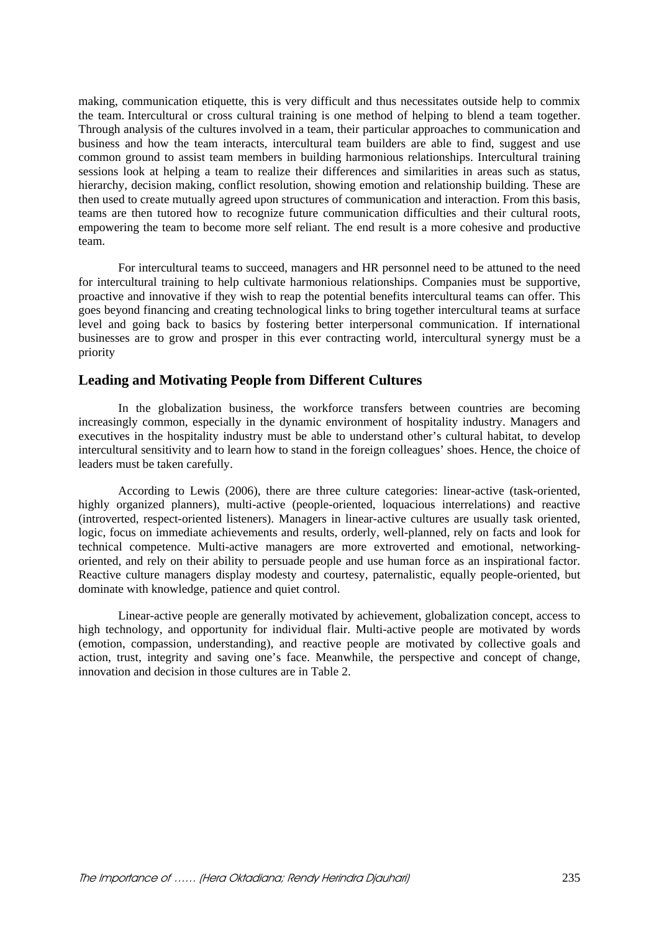making, communication etiquette, this is very difficult and thus necessitates outside help to commix the team. Intercultural or cross cultural training is one method of helping to blend a team together. Through analysis of the cultures involved in a team, their particular approaches to communication and business and how the team interacts, intercultural team builders are able to find, suggest and use common ground to assist team members in building harmonious relationships. Intercultural training sessions look at helping a team to realize their differences and similarities in areas such as status, hierarchy, decision making, conflict resolution, showing emotion and relationship building. These are then used to create mutually agreed upon structures of communication and interaction. From this basis, teams are then tutored how to recognize future communication difficulties and their cultural roots, empowering the team to become more self reliant. The end result is a more cohesive and productive team.

For intercultural teams to succeed, managers and HR personnel need to be attuned to the need for intercultural training to help cultivate harmonious relationships. Companies must be supportive, proactive and innovative if they wish to reap the potential benefits intercultural teams can offer. This goes beyond financing and creating technological links to bring together intercultural teams at surface level and going back to basics by fostering better interpersonal communication. If international businesses are to grow and prosper in this ever contracting world, intercultural synergy must be a priority

# **Leading and Motivating People from Different Cultures**

In the globalization business, the workforce transfers between countries are becoming increasingly common, especially in the dynamic environment of hospitality industry. Managers and executives in the hospitality industry must be able to understand other's cultural habitat, to develop intercultural sensitivity and to learn how to stand in the foreign colleagues' shoes. Hence, the choice of leaders must be taken carefully.

According to Lewis (2006), there are three culture categories: linear-active (task-oriented, highly organized planners), multi-active (people-oriented, loquacious interrelations) and reactive (introverted, respect-oriented listeners). Managers in linear-active cultures are usually task oriented, logic, focus on immediate achievements and results, orderly, well-planned, rely on facts and look for technical competence. Multi-active managers are more extroverted and emotional, networkingoriented, and rely on their ability to persuade people and use human force as an inspirational factor. Reactive culture managers display modesty and courtesy, paternalistic, equally people-oriented, but dominate with knowledge, patience and quiet control.

Linear-active people are generally motivated by achievement, globalization concept, access to high technology, and opportunity for individual flair. Multi-active people are motivated by words (emotion, compassion, understanding), and reactive people are motivated by collective goals and action, trust, integrity and saving one's face. Meanwhile, the perspective and concept of change, innovation and decision in those cultures are in Table 2.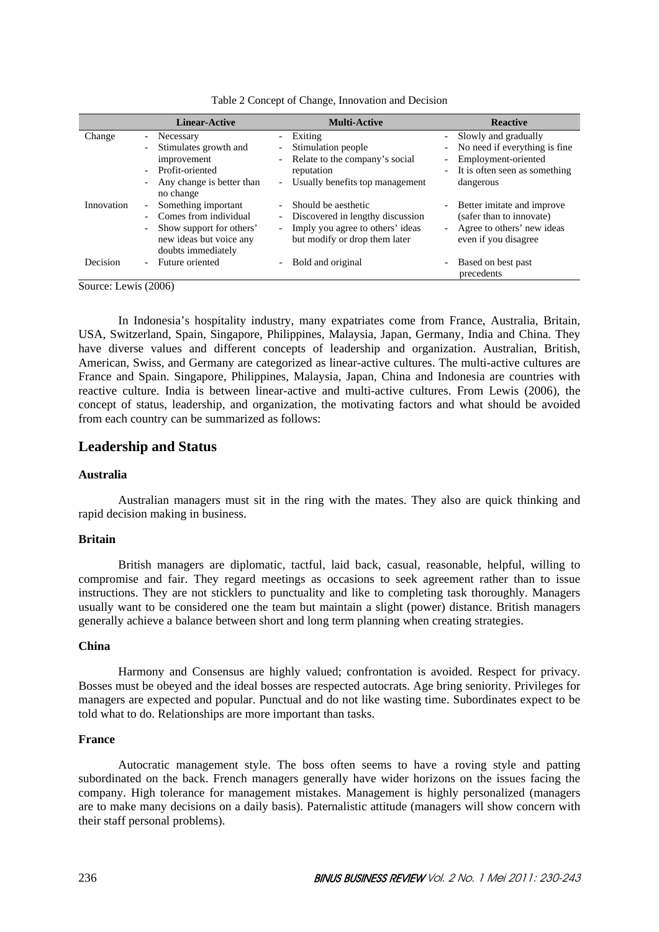|            | <b>Linear-Active</b>                                                      | <b>Multi-Active</b>                                                                           | <b>Reactive</b>                                                                |
|------------|---------------------------------------------------------------------------|-----------------------------------------------------------------------------------------------|--------------------------------------------------------------------------------|
| Change     | Necessary<br>$\overline{\phantom{0}}$                                     | Exiting                                                                                       | Slowly and gradually<br>$\sim$                                                 |
|            | Stimulates growth and                                                     | Stimulation people<br>$\overline{\phantom{a}}$                                                | No need if everything is fine<br>$ \,$                                         |
|            | improvement                                                               | Relate to the company's social<br>$\sim$                                                      | Employment-oriented                                                            |
|            | Profit-oriented                                                           | reputation                                                                                    | It is often seen as something                                                  |
|            | Any change is better than<br>no change                                    | Usually benefits top management<br>$ \,$                                                      | dangerous                                                                      |
| Innovation | Something important<br>$\overline{\phantom{0}}$                           | Should be aesthetic                                                                           | Better imitate and improve<br>$\sim$ 10 $\pm$                                  |
|            | Comes from individual                                                     | Discovered in lengthy discussion                                                              | (safer than to innovate)                                                       |
|            | Show support for others'<br>new ideas but voice any<br>doubts immediately | Imply you agree to others' ideas<br>$\overline{\phantom{0}}$<br>but modify or drop them later | Agree to others' new ideas<br>$\overline{\phantom{a}}$<br>even if you disagree |
| Decision   | Future oriented                                                           | Bold and original                                                                             | Based on best past<br>precedents                                               |

Table 2 Concept of Change, Innovation and Decision

Source: Lewis (2006)

In Indonesia's hospitality industry, many expatriates come from France, Australia, Britain, USA, Switzerland, Spain, Singapore, Philippines, Malaysia, Japan, Germany, India and China. They have diverse values and different concepts of leadership and organization. Australian, British, American, Swiss, and Germany are categorized as linear-active cultures. The multi-active cultures are France and Spain. Singapore, Philippines, Malaysia, Japan, China and Indonesia are countries with reactive culture. India is between linear-active and multi-active cultures. From Lewis (2006), the concept of status, leadership, and organization, the motivating factors and what should be avoided from each country can be summarized as follows:

### **Leadership and Status**

### **Australia**

Australian managers must sit in the ring with the mates. They also are quick thinking and rapid decision making in business.

### **Britain**

British managers are diplomatic, tactful, laid back, casual, reasonable, helpful, willing to compromise and fair. They regard meetings as occasions to seek agreement rather than to issue instructions. They are not sticklers to punctuality and like to completing task thoroughly. Managers usually want to be considered one the team but maintain a slight (power) distance. British managers generally achieve a balance between short and long term planning when creating strategies.

### **China**

Harmony and Consensus are highly valued; confrontation is avoided. Respect for privacy. Bosses must be obeyed and the ideal bosses are respected autocrats. Age bring seniority. Privileges for managers are expected and popular. Punctual and do not like wasting time. Subordinates expect to be told what to do. Relationships are more important than tasks.

### **France**

Autocratic management style. The boss often seems to have a roving style and patting subordinated on the back. French managers generally have wider horizons on the issues facing the company. High tolerance for management mistakes. Management is highly personalized (managers are to make many decisions on a daily basis). Paternalistic attitude (managers will show concern with their staff personal problems).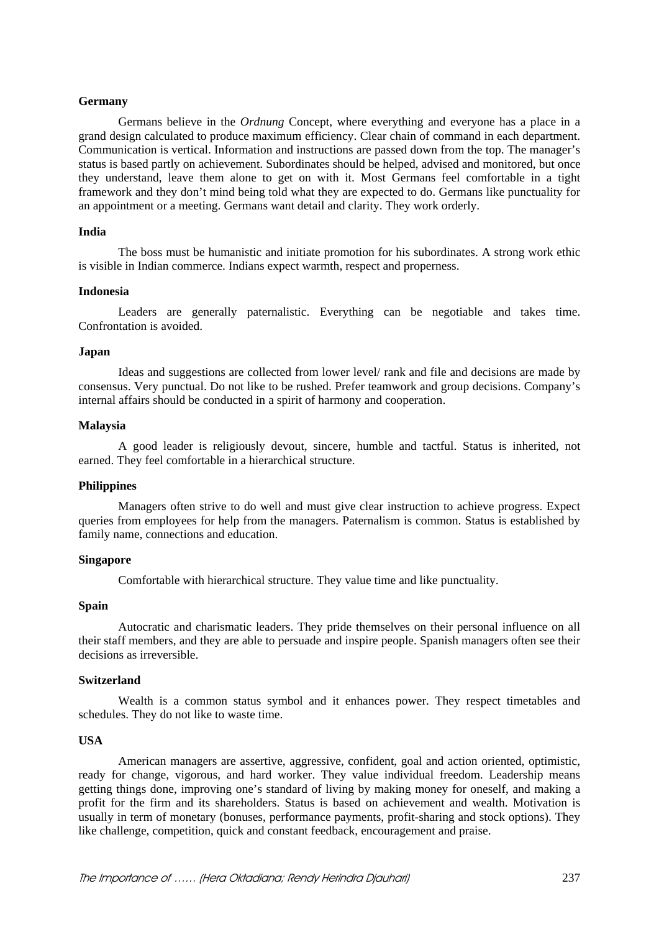### **Germany**

Germans believe in the *Ordnung* Concept, where everything and everyone has a place in a grand design calculated to produce maximum efficiency. Clear chain of command in each department. Communication is vertical. Information and instructions are passed down from the top. The manager's status is based partly on achievement. Subordinates should be helped, advised and monitored, but once they understand, leave them alone to get on with it. Most Germans feel comfortable in a tight framework and they don't mind being told what they are expected to do. Germans like punctuality for an appointment or a meeting. Germans want detail and clarity. They work orderly.

#### **India**

The boss must be humanistic and initiate promotion for his subordinates. A strong work ethic is visible in Indian commerce. Indians expect warmth, respect and properness.

#### **Indonesia**

Leaders are generally paternalistic. Everything can be negotiable and takes time. Confrontation is avoided.

#### **Japan**

Ideas and suggestions are collected from lower level/ rank and file and decisions are made by consensus. Very punctual. Do not like to be rushed. Prefer teamwork and group decisions. Company's internal affairs should be conducted in a spirit of harmony and cooperation.

#### **Malaysia**

A good leader is religiously devout, sincere, humble and tactful. Status is inherited, not earned. They feel comfortable in a hierarchical structure.

### **Philippines**

Managers often strive to do well and must give clear instruction to achieve progress. Expect queries from employees for help from the managers. Paternalism is common. Status is established by family name, connections and education.

### **Singapore**

Comfortable with hierarchical structure. They value time and like punctuality.

### **Spain**

Autocratic and charismatic leaders. They pride themselves on their personal influence on all their staff members, and they are able to persuade and inspire people. Spanish managers often see their decisions as irreversible.

#### **Switzerland**

Wealth is a common status symbol and it enhances power. They respect timetables and schedules. They do not like to waste time.

#### **USA**

American managers are assertive, aggressive, confident, goal and action oriented, optimistic, ready for change, vigorous, and hard worker. They value individual freedom. Leadership means getting things done, improving one's standard of living by making money for oneself, and making a profit for the firm and its shareholders. Status is based on achievement and wealth. Motivation is usually in term of monetary (bonuses, performance payments, profit-sharing and stock options). They like challenge, competition, quick and constant feedback, encouragement and praise.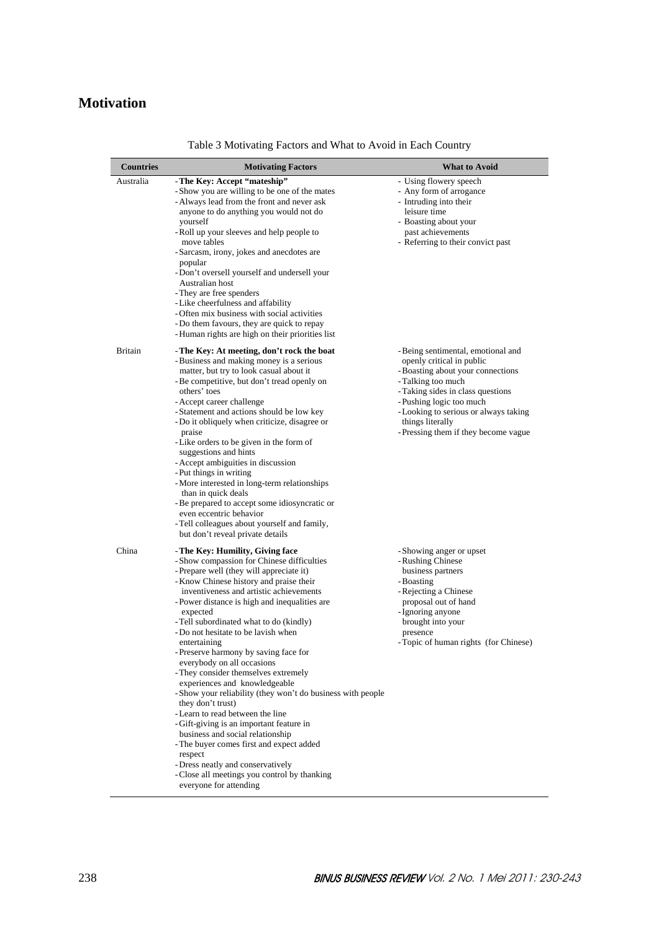# **Motivation**

| <b>Countries</b> | <b>Motivating Factors</b>                                                                                                                                                                                                                                                                                                                                                                                                                                                                                                                                                                                                                                                                                                                                                                                                                                                                                 | What to Avoid                                                                                                                                                                                                                                                                                   |
|------------------|-----------------------------------------------------------------------------------------------------------------------------------------------------------------------------------------------------------------------------------------------------------------------------------------------------------------------------------------------------------------------------------------------------------------------------------------------------------------------------------------------------------------------------------------------------------------------------------------------------------------------------------------------------------------------------------------------------------------------------------------------------------------------------------------------------------------------------------------------------------------------------------------------------------|-------------------------------------------------------------------------------------------------------------------------------------------------------------------------------------------------------------------------------------------------------------------------------------------------|
| Australia        | - The Key: Accept "mateship"<br>-Show you are willing to be one of the mates<br>- Always lead from the front and never ask<br>anyone to do anything you would not do<br>yourself<br>- Roll up your sleeves and help people to<br>move tables<br>- Sarcasm, irony, jokes and anecdotes are<br>popular<br>- Don't oversell yourself and undersell your<br>Australian host<br>- They are free spenders<br>- Like cheerfulness and affability<br>- Often mix business with social activities<br>- Do them favours, they are quick to repay<br>- Human rights are high on their priorities list                                                                                                                                                                                                                                                                                                                | - Using flowery speech<br>- Any form of arrogance<br>- Intruding into their<br>leisure time<br>- Boasting about your<br>past achievements<br>- Referring to their convict past                                                                                                                  |
| <b>Britain</b>   | - The Key: At meeting, don't rock the boat<br>- Business and making money is a serious<br>matter, but try to look casual about it<br>- Be competitive, but don't tread openly on<br>others' toes<br>- Accept career challenge<br>-Statement and actions should be low key<br>- Do it obliquely when criticize, disagree or<br>praise<br>- Like orders to be given in the form of<br>suggestions and hints<br>- Accept ambiguities in discussion<br>- Put things in writing<br>-More interested in long-term relationships<br>than in quick deals<br>- Be prepared to accept some idiosyncratic or<br>even eccentric behavior<br>- Tell colleagues about yourself and family,<br>but don't reveal private details                                                                                                                                                                                          | - Being sentimental, emotional and<br>openly critical in public<br>- Boasting about your connections<br>- Talking too much<br>- Taking sides in class questions<br>-Pushing logic too much<br>- Looking to serious or always taking<br>things literally<br>- Pressing them if they become vague |
| China            | - The Key: Humility, Giving face<br>- Show compassion for Chinese difficulties<br>- Prepare well (they will appreciate it)<br>- Know Chinese history and praise their<br>inventiveness and artistic achievements<br>- Power distance is high and inequalities are.<br>expected<br>- Tell subordinated what to do (kindly)<br>- Do not hesitate to be lavish when<br>entertaining<br>Preserve harmony by saving face for<br>everybody on all occasions<br>- They consider themselves extremely<br>experiences and knowledgeable<br>-Show your reliability (they won't do business with people<br>they don't trust)<br>-Learn to read between the line<br>-Gift-giving is an important feature in<br>business and social relationship<br>- The buyer comes first and expect added<br>respect<br>- Dress neatly and conservatively<br>- Close all meetings you control by thanking<br>everyone for attending | - Showing anger or upset<br>- Rushing Chinese<br>business partners<br>- Boasting<br>- Rejecting a Chinese<br>proposal out of hand<br>- Ignoring anyone<br>brought into your<br>presence<br>- Topic of human rights (for Chinese)                                                                |

Table 3 Motivating Factors and What to Avoid in Each Country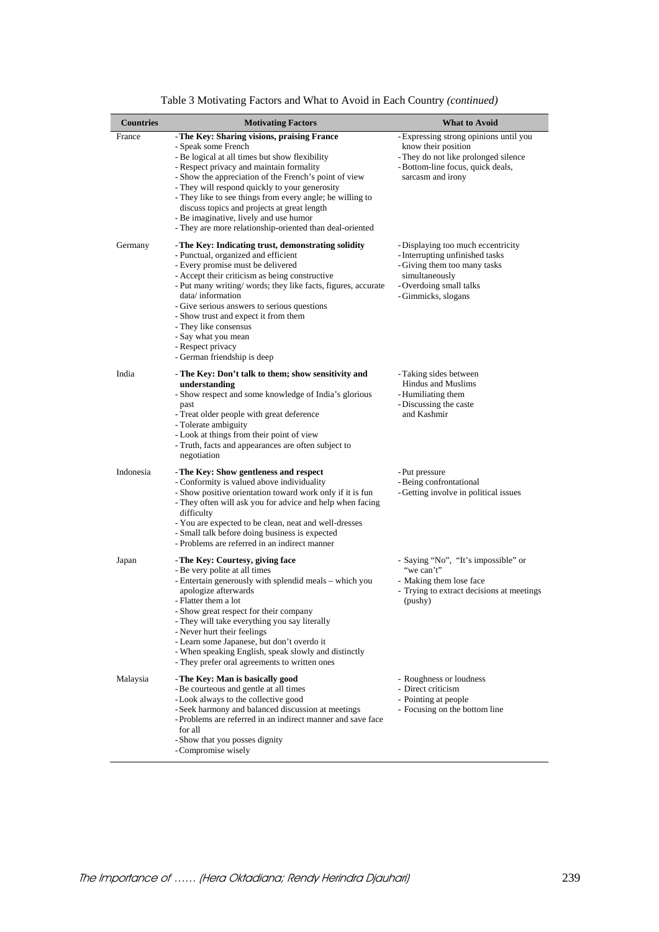|                  | Table 3 Motivating Factors and What to Avoid in Each Country (continued)                                                                                                                                                                                                                                                                                                                                                                                                                      |                                                                                                                                                                           |
|------------------|-----------------------------------------------------------------------------------------------------------------------------------------------------------------------------------------------------------------------------------------------------------------------------------------------------------------------------------------------------------------------------------------------------------------------------------------------------------------------------------------------|---------------------------------------------------------------------------------------------------------------------------------------------------------------------------|
| <b>Countries</b> | <b>Motivating Factors</b>                                                                                                                                                                                                                                                                                                                                                                                                                                                                     | <b>What to Avoid</b>                                                                                                                                                      |
| France           | - The Key: Sharing visions, praising France<br>- Speak some French<br>- Be logical at all times but show flexibility<br>- Respect privacy and maintain formality<br>- Show the appreciation of the French's point of view<br>- They will respond quickly to your generosity<br>- They like to see things from every angle; be willing to<br>discuss topics and projects at great length<br>- Be imaginative, lively and use humor<br>- They are more relationship-oriented than deal-oriented | - Expressing strong opinions until you<br>know their position<br>- They do not like prolonged silence<br>-Bottom-line focus, quick deals,<br>sarcasm and irony            |
| Germany          | - The Key: Indicating trust, demonstrating solidity<br>- Punctual, organized and efficient<br>- Every promise must be delivered<br>- Accept their criticism as being constructive<br>- Put many writing/words; they like facts, figures, accurate<br>data/information<br>- Give serious answers to serious questions<br>- Show trust and expect it from them<br>- They like consensus<br>- Say what you mean<br>- Respect privacy<br>- German friendship is deep                              | - Displaying too much eccentricity<br>- Interrupting unfinished tasks<br>- Giving them too many tasks<br>simultaneously<br>- Overdoing small talks<br>- Gimmicks, slogans |
| India            | - The Key: Don't talk to them; show sensitivity and<br>understanding<br>- Show respect and some knowledge of India's glorious<br>past<br>- Treat older people with great deference<br>- Tolerate ambiguity<br>- Look at things from their point of view<br>- Truth, facts and appearances are often subject to<br>negotiation                                                                                                                                                                 | - Taking sides between<br><b>Hindus and Muslims</b><br>- Humiliating them<br>- Discussing the caste<br>and Kashmir                                                        |
| Indonesia        | - The Key: Show gentleness and respect<br>- Conformity is valued above individuality<br>- Show positive orientation toward work only if it is fun<br>- They often will ask you for advice and help when facing<br>difficulty<br>- You are expected to be clean, neat and well-dresses<br>- Small talk before doing business is expected<br>- Problems are referred in an indirect manner                                                                                                      | - Put pressure<br>- Being confrontational<br>- Getting involve in political issues                                                                                        |
| Japan            | - The Key: Courtesy, giving face<br>- Be very polite at all times<br>- Entertain generously with splendid meals – which you<br>apologize afterwards<br>- Flatter them a lot<br>- Show great respect for their company<br>- They will take everything you say literally<br>- Never hurt their feelings<br>- Learn some Japanese, but don't overdo it<br>- When speaking English, speak slowly and distinctly<br>- They prefer oral agreements to written ones                                  | - Saying "No", "It's impossible" or<br>"we can't"<br>- Making them lose face<br>- Trying to extract decisions at meetings<br>(pushy)                                      |
| Malaysia         | - The Key: Man is basically good<br>- Be courteous and gentle at all times<br>- Look always to the collective good<br>- Seek harmony and balanced discussion at meetings<br>- Problems are referred in an indirect manner and save face<br>for all<br>- Show that you posses dignity<br>- Compromise wisely                                                                                                                                                                                   | - Roughness or loudness<br>- Direct criticism<br>- Pointing at people<br>- Focusing on the bottom line                                                                    |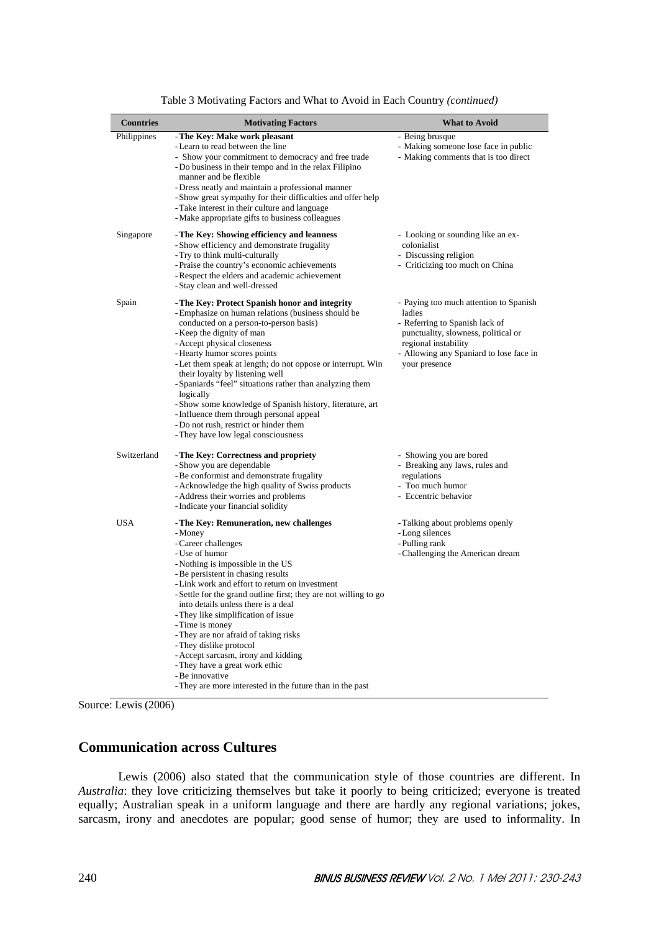| <b>Countries</b> | <b>Motivating Factors</b>                                                                                                                                                                                                                                                                                                                                                                                                                                                                                                                                                                                                  | <b>What to Avoid</b>                                                                                                                                                                                          |
|------------------|----------------------------------------------------------------------------------------------------------------------------------------------------------------------------------------------------------------------------------------------------------------------------------------------------------------------------------------------------------------------------------------------------------------------------------------------------------------------------------------------------------------------------------------------------------------------------------------------------------------------------|---------------------------------------------------------------------------------------------------------------------------------------------------------------------------------------------------------------|
| Philippines      | - The Key: Make work pleasant<br>- Learn to read between the line<br>- Show your commitment to democracy and free trade<br>- Do business in their tempo and in the relax Filipino<br>manner and be flexible<br>- Dress neatly and maintain a professional manner<br>- Show great sympathy for their difficulties and offer help<br>- Take interest in their culture and language<br>- Make appropriate gifts to business colleagues                                                                                                                                                                                        | - Being brusque<br>- Making someone lose face in public<br>- Making comments that is too direct                                                                                                               |
| Singapore        | - The Key: Showing efficiency and leanness<br>- Show efficiency and demonstrate frugality<br>- Try to think multi-culturally<br>- Praise the country's economic achievements<br>- Respect the elders and academic achievement<br>-Stay clean and well-dressed                                                                                                                                                                                                                                                                                                                                                              | - Looking or sounding like an ex-<br>colonialist<br>- Discussing religion<br>- Criticizing too much on China                                                                                                  |
| Spain            | - The Key: Protect Spanish honor and integrity<br>- Emphasize on human relations (business should be<br>conducted on a person-to-person basis)<br>- Keep the dignity of man<br>- Accept physical closeness<br>- Hearty humor scores points<br>- Let them speak at length; do not oppose or interrupt. Win<br>their loyalty by listening well<br>-Spaniards "feel" situations rather than analyzing them<br>logically<br>- Show some knowledge of Spanish history, literature, art<br>- Influence them through personal appeal<br>- Do not rush, restrict or hinder them<br>- They have low legal consciousness             | - Paying too much attention to Spanish<br>ladies<br>- Referring to Spanish lack of<br>punctuality, slowness, political or<br>regional instability<br>- Allowing any Spaniard to lose face in<br>your presence |
| Switzerland      | - The Key: Correctness and propriety<br>- Show you are dependable<br>- Be conformist and demonstrate frugality<br>- Acknowledge the high quality of Swiss products<br>- Address their worries and problems<br>- Indicate your financial solidity                                                                                                                                                                                                                                                                                                                                                                           | - Showing you are bored<br>- Breaking any laws, rules and<br>regulations<br>- Too much humor<br>- Eccentric behavior                                                                                          |
| <b>USA</b>       | - The Key: Remuneration, new challenges<br>- Money<br>- Career challenges<br>- Use of humor<br>- Nothing is impossible in the US<br>- Be persistent in chasing results<br>- Link work and effort to return on investment<br>- Settle for the grand outline first; they are not willing to go<br>into details unless there is a deal<br>- They like simplification of issue<br>- Time is money<br>- They are nor afraid of taking risks<br>- They dislike protocol<br>- Accept sarcasm, irony and kidding<br>- They have a great work ethic<br>- Be innovative<br>- They are more interested in the future than in the past | - Talking about problems openly<br>- Long silences<br>- Pulling rank<br>- Challenging the American dream                                                                                                      |

Table 3 Motivating Factors and What to Avoid in Each Country *(continued)*

Source: Lewis (2006)

# **Communication across Cultures**

Lewis (2006) also stated that the communication style of those countries are different. In *Australia*: they love criticizing themselves but take it poorly to being criticized; everyone is treated equally; Australian speak in a uniform language and there are hardly any regional variations; jokes, sarcasm, irony and anecdotes are popular; good sense of humor; they are used to informality. In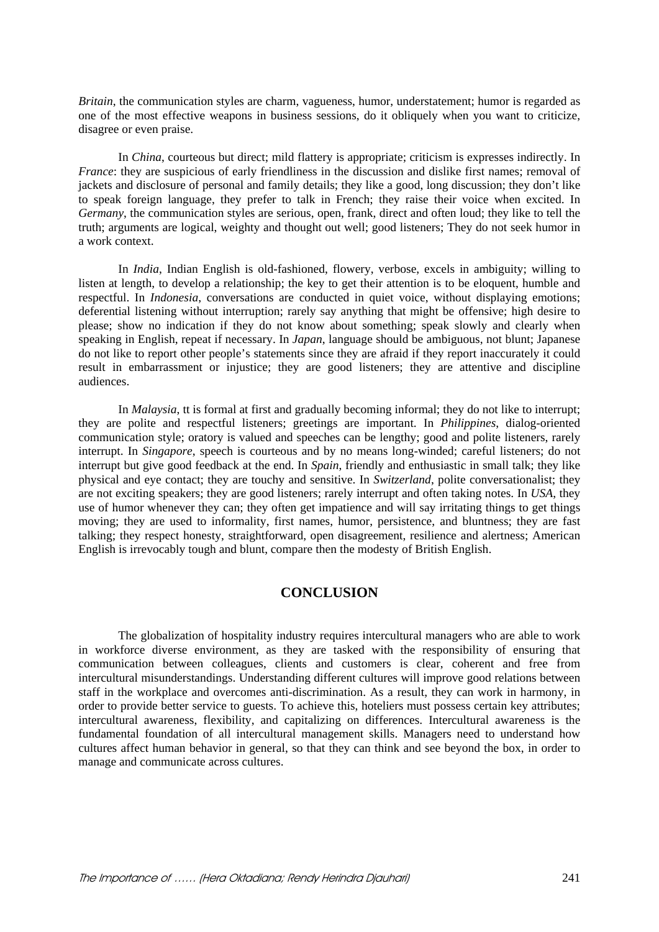*Britain*, the communication styles are charm, vagueness, humor, understatement; humor is regarded as one of the most effective weapons in business sessions, do it obliquely when you want to criticize, disagree or even praise.

In *China*, courteous but direct; mild flattery is appropriate; criticism is expresses indirectly. In *France*: they are suspicious of early friendliness in the discussion and dislike first names; removal of jackets and disclosure of personal and family details; they like a good, long discussion; they don't like to speak foreign language, they prefer to talk in French; they raise their voice when excited. In *Germany*, the communication styles are serious, open, frank, direct and often loud; they like to tell the truth; arguments are logical, weighty and thought out well; good listeners; They do not seek humor in a work context.

In *India*, Indian English is old-fashioned, flowery, verbose, excels in ambiguity; willing to listen at length, to develop a relationship; the key to get their attention is to be eloquent, humble and respectful. In *Indonesia*, conversations are conducted in quiet voice, without displaying emotions; deferential listening without interruption; rarely say anything that might be offensive; high desire to please; show no indication if they do not know about something; speak slowly and clearly when speaking in English, repeat if necessary. In *Japan*, language should be ambiguous, not blunt; Japanese do not like to report other people's statements since they are afraid if they report inaccurately it could result in embarrassment or injustice; they are good listeners; they are attentive and discipline audiences.

In *Malaysia*, tt is formal at first and gradually becoming informal; they do not like to interrupt; they are polite and respectful listeners; greetings are important. In *Philippines*, dialog-oriented communication style; oratory is valued and speeches can be lengthy; good and polite listeners, rarely interrupt. In *Singapore*, speech is courteous and by no means long-winded; careful listeners; do not interrupt but give good feedback at the end. In *Spain*, friendly and enthusiastic in small talk; they like physical and eye contact; they are touchy and sensitive. In *Switzerland*, polite conversationalist; they are not exciting speakers; they are good listeners; rarely interrupt and often taking notes. In *USA*, they use of humor whenever they can; they often get impatience and will say irritating things to get things moving; they are used to informality, first names, humor, persistence, and bluntness; they are fast talking; they respect honesty, straightforward, open disagreement, resilience and alertness; American English is irrevocably tough and blunt, compare then the modesty of British English.

# **CONCLUSION**

The globalization of hospitality industry requires intercultural managers who are able to work in workforce diverse environment, as they are tasked with the responsibility of ensuring that communication between colleagues, clients and customers is clear, coherent and free from intercultural misunderstandings. Understanding different cultures will improve good relations between staff in the workplace and overcomes anti-discrimination. As a result, they can work in harmony, in order to provide better service to guests. To achieve this, hoteliers must possess certain key attributes; intercultural awareness, flexibility, and capitalizing on differences. Intercultural awareness is the fundamental foundation of all intercultural management skills. Managers need to understand how cultures affect human behavior in general, so that they can think and see beyond the box, in order to manage and communicate across cultures.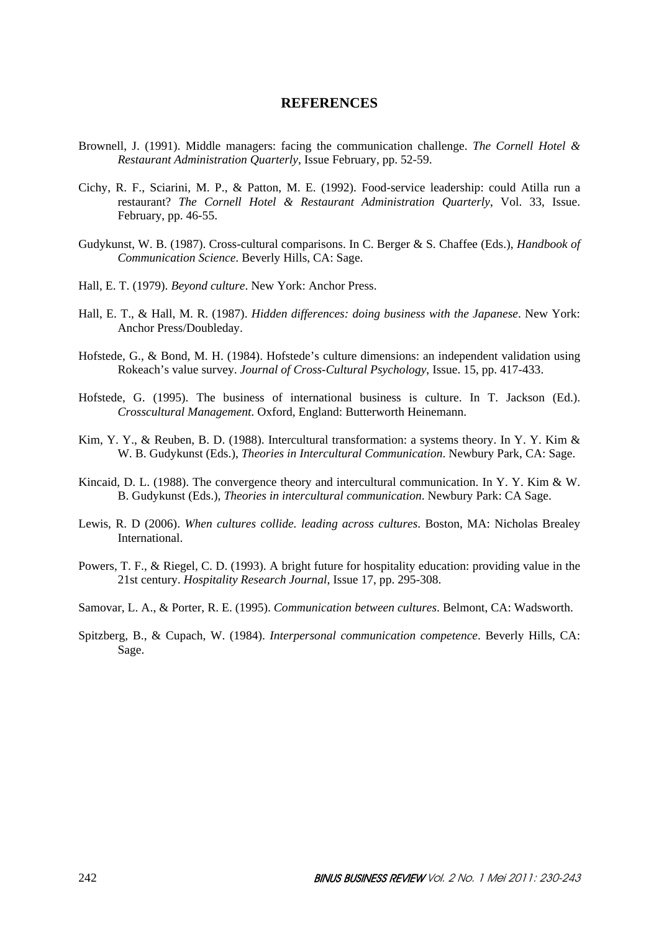### **REFERENCES**

- Brownell, J. (1991). Middle managers: facing the communication challenge. *The Cornell Hotel & Restaurant Administration Quarterly*, Issue February, pp. 52-59.
- Cichy, R. F., Sciarini, M. P., & Patton, M. E. (1992). Food-service leadership: could Atilla run a restaurant? *The Cornell Hotel & Restaurant Administration Quarterly*, Vol. 33, Issue. February, pp. 46-55.
- Gudykunst, W. B. (1987). Cross-cultural comparisons. In C. Berger & S. Chaffee (Eds.), *Handbook of Communication Science*. Beverly Hills, CA: Sage.
- Hall, E. T. (1979). *Beyond culture*. New York: Anchor Press.
- Hall, E. T., & Hall, M. R. (1987). *Hidden differences: doing business with the Japanese*. New York: Anchor Press/Doubleday.
- Hofstede, G., & Bond, M. H. (1984). Hofstede's culture dimensions: an independent validation using Rokeach's value survey. *Journal of Cross-Cultural Psychology*, Issue. 15, pp. 417-433.
- Hofstede, G. (1995). The business of international business is culture. In T. Jackson (Ed.). *Crosscultural Management*. Oxford, England: Butterworth Heinemann.
- Kim, Y. Y., & Reuben, B. D. (1988). Intercultural transformation: a systems theory. In Y. Y. Kim & W. B. Gudykunst (Eds.), *Theories in Intercultural Communication*. Newbury Park, CA: Sage.
- Kincaid, D. L. (1988). The convergence theory and intercultural communication. In Y. Y. Kim & W. B. Gudykunst (Eds.), *Theories in intercultural communication*. Newbury Park: CA Sage.
- Lewis, R. D (2006). *When cultures collide. leading across cultures*. Boston, MA: Nicholas Brealey International.
- Powers, T. F., & Riegel, C. D. (1993). A bright future for hospitality education: providing value in the 21st century. *Hospitality Research Journal*, Issue 17, pp. 295-308.
- Samovar, L. A., & Porter, R. E. (1995). *Communication between cultures*. Belmont, CA: Wadsworth.
- Spitzberg, B., & Cupach, W. (1984). *Interpersonal communication competence*. Beverly Hills, CA: Sage.